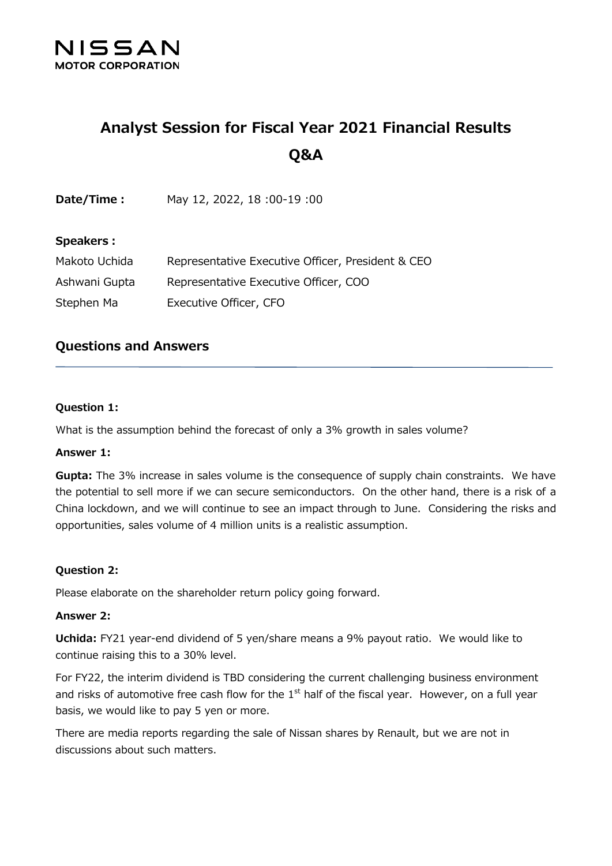

# **Analyst Session for Fiscal Year 2021 Financial Results Q&A**

| Date/Time : | May 12, 2022, 18:00-19:00 |
|-------------|---------------------------|
|-------------|---------------------------|

#### **Speakers:**

| Makoto Uchida | Representative Executive Officer, President & CEO |
|---------------|---------------------------------------------------|
| Ashwani Gupta | Representative Executive Officer, COO             |
| Stephen Ma    | Executive Officer, CFO                            |

## **Questions and Answers**

#### **Question 1:**

What is the assumption behind the forecast of only a 3% growth in sales volume?

#### **Answer 1:**

**Gupta:** The 3% increase in sales volume is the consequence of supply chain constraints. We have the potential to sell more if we can secure semiconductors. On the other hand, there is a risk of a China lockdown, and we will continue to see an impact through to June. Considering the risks and opportunities, sales volume of 4 million units is a realistic assumption.

### **Question 2:**

Please elaborate on the shareholder return policy going forward.

#### **Answer 2:**

**Uchida:** FY21 year-end dividend of 5 yen/share means a 9% payout ratio. We would like to continue raising this to a 30% level.

For FY22, the interim dividend is TBD considering the current challenging business environment and risks of automotive free cash flow for the  $1<sup>st</sup>$  half of the fiscal year. However, on a full year basis, we would like to pay 5 yen or more.

There are media reports regarding the sale of Nissan shares by Renault, but we are not in discussions about such matters.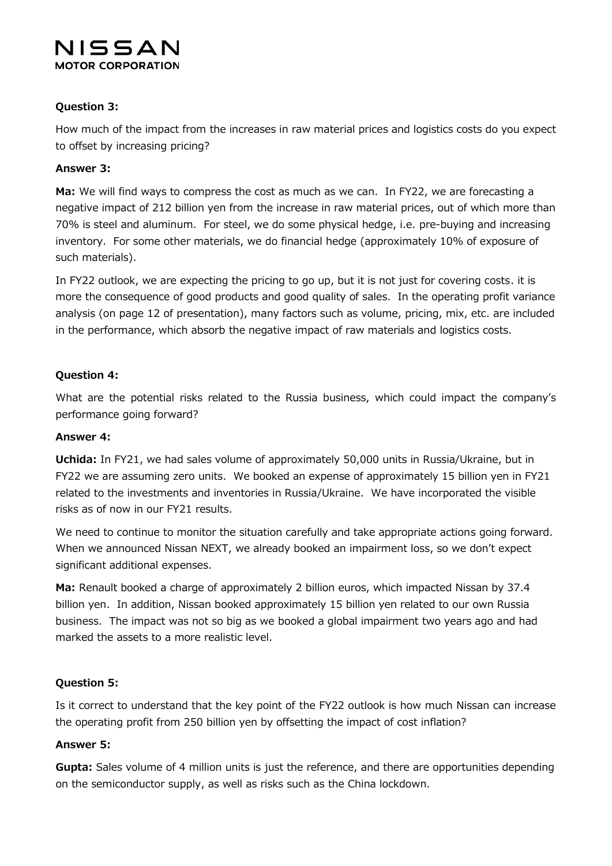## NISSAN **MOTOR CORPORATION**

## **Question 3:**

How much of the impact from the increases in raw material prices and logistics costs do you expect to offset by increasing pricing?

## **Answer 3:**

**Ma:** We will find ways to compress the cost as much as we can. In FY22, we are forecasting a negative impact of 212 billion yen from the increase in raw material prices, out of which more than 70% is steel and aluminum. For steel, we do some physical hedge, i.e. pre-buying and increasing inventory. For some other materials, we do financial hedge (approximately 10% of exposure of such materials).

In FY22 outlook, we are expecting the pricing to go up, but it is not just for covering costs. it is more the consequence of good products and good quality of sales. In the operating profit variance analysis (on page 12 of presentation), many factors such as volume, pricing, mix, etc. are included in the performance, which absorb the negative impact of raw materials and logistics costs.

## **Question 4:**

What are the potential risks related to the Russia business, which could impact the company's performance going forward?

### **Answer 4:**

**Uchida:** In FY21, we had sales volume of approximately 50,000 units in Russia/Ukraine, but in FY22 we are assuming zero units. We booked an expense of approximately 15 billion yen in FY21 related to the investments and inventories in Russia/Ukraine. We have incorporated the visible risks as of now in our FY21 results.

We need to continue to monitor the situation carefully and take appropriate actions going forward. When we announced Nissan NEXT, we already booked an impairment loss, so we don't expect significant additional expenses.

**Ma:** Renault booked a charge of approximately 2 billion euros, which impacted Nissan by 37.4 billion yen. In addition, Nissan booked approximately 15 billion yen related to our own Russia business. The impact was not so big as we booked a global impairment two years ago and had marked the assets to a more realistic level.

### **Question 5:**

Is it correct to understand that the key point of the FY22 outlook is how much Nissan can increase the operating profit from 250 billion yen by offsetting the impact of cost inflation?

### **Answer 5:**

**Gupta:** Sales volume of 4 million units is just the reference, and there are opportunities depending on the semiconductor supply, as well as risks such as the China lockdown.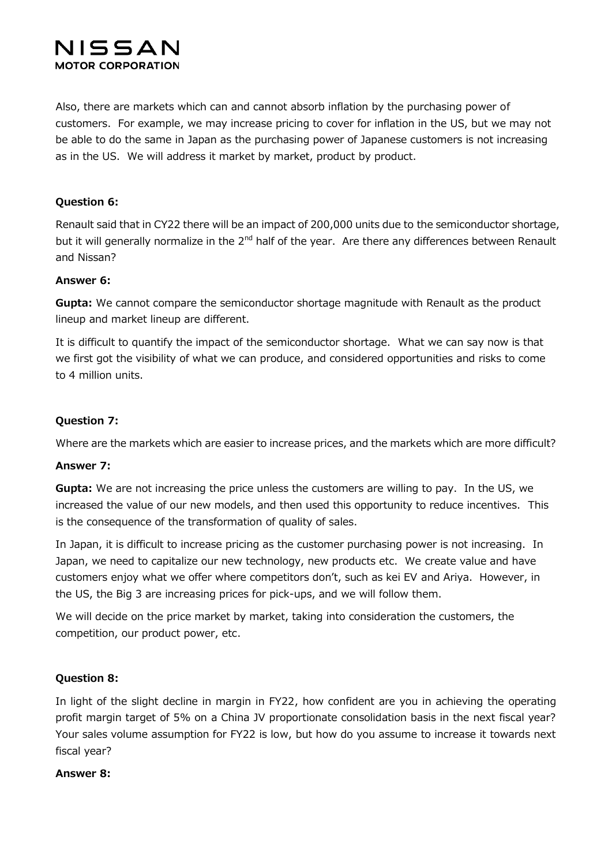## NISSAN **MOTOR CORPORATION**

Also, there are markets which can and cannot absorb inflation by the purchasing power of customers. For example, we may increase pricing to cover for inflation in the US, but we may not be able to do the same in Japan as the purchasing power of Japanese customers is not increasing as in the US. We will address it market by market, product by product.

## **Question 6:**

Renault said that in CY22 there will be an impact of 200,000 units due to the semiconductor shortage, but it will generally normalize in the 2<sup>nd</sup> half of the year. Are there any differences between Renault and Nissan?

### **Answer 6:**

**Gupta:** We cannot compare the semiconductor shortage magnitude with Renault as the product lineup and market lineup are different.

It is difficult to quantify the impact of the semiconductor shortage. What we can say now is that we first got the visibility of what we can produce, and considered opportunities and risks to come to 4 million units.

## **Question 7:**

Where are the markets which are easier to increase prices, and the markets which are more difficult?

### **Answer 7:**

**Gupta:** We are not increasing the price unless the customers are willing to pay. In the US, we increased the value of our new models, and then used this opportunity to reduce incentives. This is the consequence of the transformation of quality of sales.

In Japan, it is difficult to increase pricing as the customer purchasing power is not increasing. In Japan, we need to capitalize our new technology, new products etc. We create value and have customers enjoy what we offer where competitors don't, such as kei EV and Ariya. However, in the US, the Big 3 are increasing prices for pick-ups, and we will follow them.

We will decide on the price market by market, taking into consideration the customers, the competition, our product power, etc.

### **Question 8:**

In light of the slight decline in margin in FY22, how confident are you in achieving the operating profit margin target of 5% on a China JV proportionate consolidation basis in the next fiscal year? Your sales volume assumption for FY22 is low, but how do you assume to increase it towards next fiscal year?

### **Answer 8:**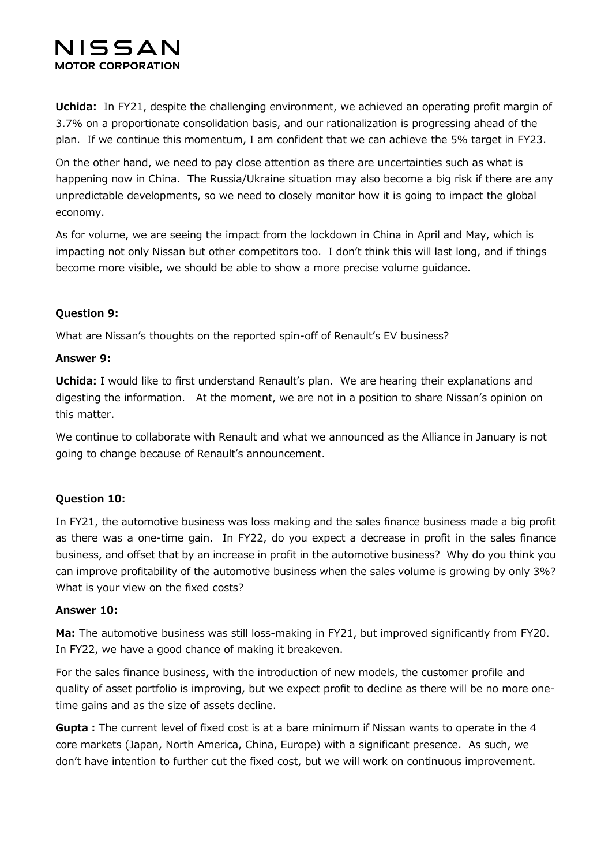## NISSAN **MOTOR CORPORATION**

**Uchida:** In FY21, despite the challenging environment, we achieved an operating profit margin of 3.7% on a proportionate consolidation basis, and our rationalization is progressing ahead of the plan. If we continue this momentum, I am confident that we can achieve the 5% target in FY23.

On the other hand, we need to pay close attention as there are uncertainties such as what is happening now in China. The Russia/Ukraine situation may also become a big risk if there are any unpredictable developments, so we need to closely monitor how it is going to impact the global economy.

As for volume, we are seeing the impact from the lockdown in China in April and May, which is impacting not only Nissan but other competitors too. I don't think this will last long, and if things become more visible, we should be able to show a more precise volume guidance.

## **Question 9:**

What are Nissan's thoughts on the reported spin-off of Renault's EV business?

## **Answer 9:**

**Uchida:** I would like to first understand Renault's plan. We are hearing their explanations and digesting the information. At the moment, we are not in a position to share Nissan's opinion on this matter.

We continue to collaborate with Renault and what we announced as the Alliance in January is not going to change because of Renault's announcement.

## **Question 10:**

In FY21, the automotive business was loss making and the sales finance business made a big profit as there was a one-time gain. In FY22, do you expect a decrease in profit in the sales finance business, and offset that by an increase in profit in the automotive business? Why do you think you can improve profitability of the automotive business when the sales volume is growing by only 3%? What is your view on the fixed costs?

## **Answer 10:**

**Ma:** The automotive business was still loss-making in FY21, but improved significantly from FY20. In FY22, we have a good chance of making it breakeven.

For the sales finance business, with the introduction of new models, the customer profile and quality of asset portfolio is improving, but we expect profit to decline as there will be no more onetime gains and as the size of assets decline.

**Gupta:**The current level of fixed cost is at a bare minimum if Nissan wants to operate in the 4 core markets (Japan, North America, China, Europe) with a significant presence. As such, we don't have intention to further cut the fixed cost, but we will work on continuous improvement.